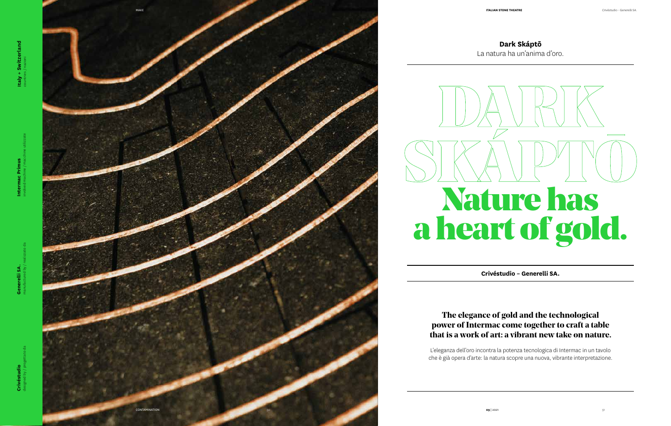**Dark Skáptō** La natura ha un'anima d'oro.

## **The elegance of gold and the technological power of Intermac come together to craft a table that is a work of art: a vibrant new take on nature.**

L'eleganza dell'oro incontra la potenza tecnologica di Intermac in un tavolo che è già opera d'arte: la natura scopre una nuova, vibrante interpretazione.

## **Crivéstudio – Generelli SA.**



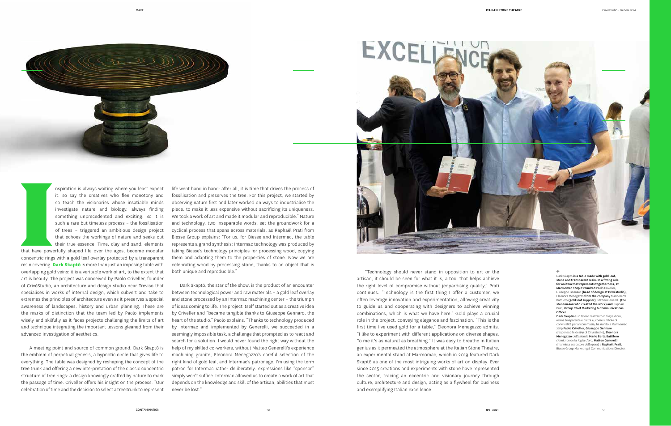It: so say the creatives who flee monotony and<br>so teach the visionaries whose insatiable minds<br>investigate nature and biology, always finding<br>something unprecedented and exciting. So it is<br>such a rare but timeless process it: so say the creatives who flee monotony and so teach the visionaries whose insatiable minds investigate nature and biology, always finding something unprecedented and exciting. So it is such a rare but timeless process – the fossilisation of trees – triggered an ambitious design project that echoes the workings of nature and seeks out their true essence. Time, clay and sand, elements

that have powerfully shaped life over the ages, become modular concentric rings with a gold leaf overlay protected by a transparent resin covering. **Dark Skaptō** is more than just an imposing table with overlapping gold veins: it is a veritable work of art, to the extent that art is beauty. The project was conceived by Paolo Criveller, founder of CrivéStudio, an architecture and design studio near Treviso that specialises in works of internal design, which subvert and take to extremes the principles of architecture even as it preserves a special awareness of landscapes, history and urban planning. These are the marks of distinction that the team led by Paolo implements wisely and skilfully as it faces projects challenging the limits of art and technique integrating the important lessons gleaned from their advanced investigation of aesthetics.

A meeting point and source of common ground, Dark Skaptō is the emblem of perpetual genesis, a hypnotic circle that gives life to everything. The table was designed by reshaping the concept of the tree trunk and offering a new interpretation of the classic concentric structure of tree rings: a design knowingly crafted by nature to mark the passage of time. Criveller offers his insight on the process: "Our celebration of time and the decision to select a tree trunk to represent

life went hand in hand: after all, it is time that drives the process of fossilisation and preserves the tree. For this project, we started by observing nature first and later worked on ways to industrialise the piece, to make it less expensive without sacrificing its uniqueness. We took a work of art and made it modular and reproducible." Nature and technology, two inseparable words, set the groundwork for a cyclical process that spans across materials, as Raphaël Prati from Biesse Group explains: "For us, for Biesse and Intermac, the table represents a grand synthesis: Intermac technology was produced by taking Biesse's technology principles for processing wood, copying them and adapting them to the properties of stone. Now we are celebrating wood by processing stone, thanks to an object that is both unique and reproducible."

Dark Skaptō is a table made with gold leaf stone and transparent resin. In a fitting role for an item that represents togetherness, at Marmomac 2019 it reunited Paolo Criveller, Giuseppe Gennaro (head of design at Crivéstudio), Eleonora Menegazzo from the company Mario Berta Battiloro (gold leaf supplier), Matteo Generelli (the stonemason who created the work) and Raphaël Prati, Group Chief Marketing & Communications Officer.

Dark Skaptō, the star of the show, is the product of an encounter between technological power and raw materials – a gold leaf overlay and stone processed by an Intermac machining center – the triumph of ideas coming to life. The project itself started out as a creative idea by Criveller and "became tangible thanks to Giuseppe Gennaro, the heart of the studio," Paolo explains. "Thanks to technology produced by Intermac and implemented by Generelli, we succeeded in a seemingly impossible task, a challenge that prompted us to react and search for a solution. I would never found the right way without the help of my skilled co-workers, without Matteo Generelli's experience machining granite, Eleonora Menegazzo's careful selection of the right kind of gold leaf, and Intermac's patronage. I'm using the term patron for Intermac rather deliberately: expressions like "sponsor" simply won't suffice. Intermac allowed us to create a work of art that depends on the knowledge and skill of the artisan, abilities that must never be lost."

"Technology should never stand in opposition to art or the artisan, it should be seen for what it is, a tool that helps achieve the right level of compromise without jeopardising quality," Prati continues. "Technology is the first thing I offer a customer, we often leverage innovation and experimentation, allowing creativity to guide us and cooperating with designers to achieve winning combinations, which is what we have here." Gold plays a crucial role in the project, conveying elegance and fascination. "This is the first time I've used gold for a table," Eleonora Menegazzo admits. "I like to experiment with different applications on diverse shapes. To me it's as natural as breathing." It was easy to breathe in Italian genius as it permeated the atmosphere at the Italian Stone Theatre, an experimental stand at Marmomac, which in 2019 featured Dark Skaptō as one of the most intriguing works of art on display. Ever since 2015 creations and experiments with stone have represented the sector, tracing an eccentric and visionary journey through culture, architecture and design, acting as a flywheel for business and exemplifying Italian excellence.

## **↑**

Dark Skaptō è un tavolo realizzato in foglia d'oro, resina trasparente e pietra e, come simbolo di convivialità per antonomasia, ha riunito a Marmomac 2019 Paolo Criveller, Giuseppe Gennaro (responsabile design di Crivéstudio), Eleonora Menegazzo dell'azienda Mario Berta Battiloro (fornitrice della foglia d'oro, Matteo Generelli (marmista esecutore dell'opera) e Raphaël Prati, Biesse Group Marketing & Communications Director.

MAKE